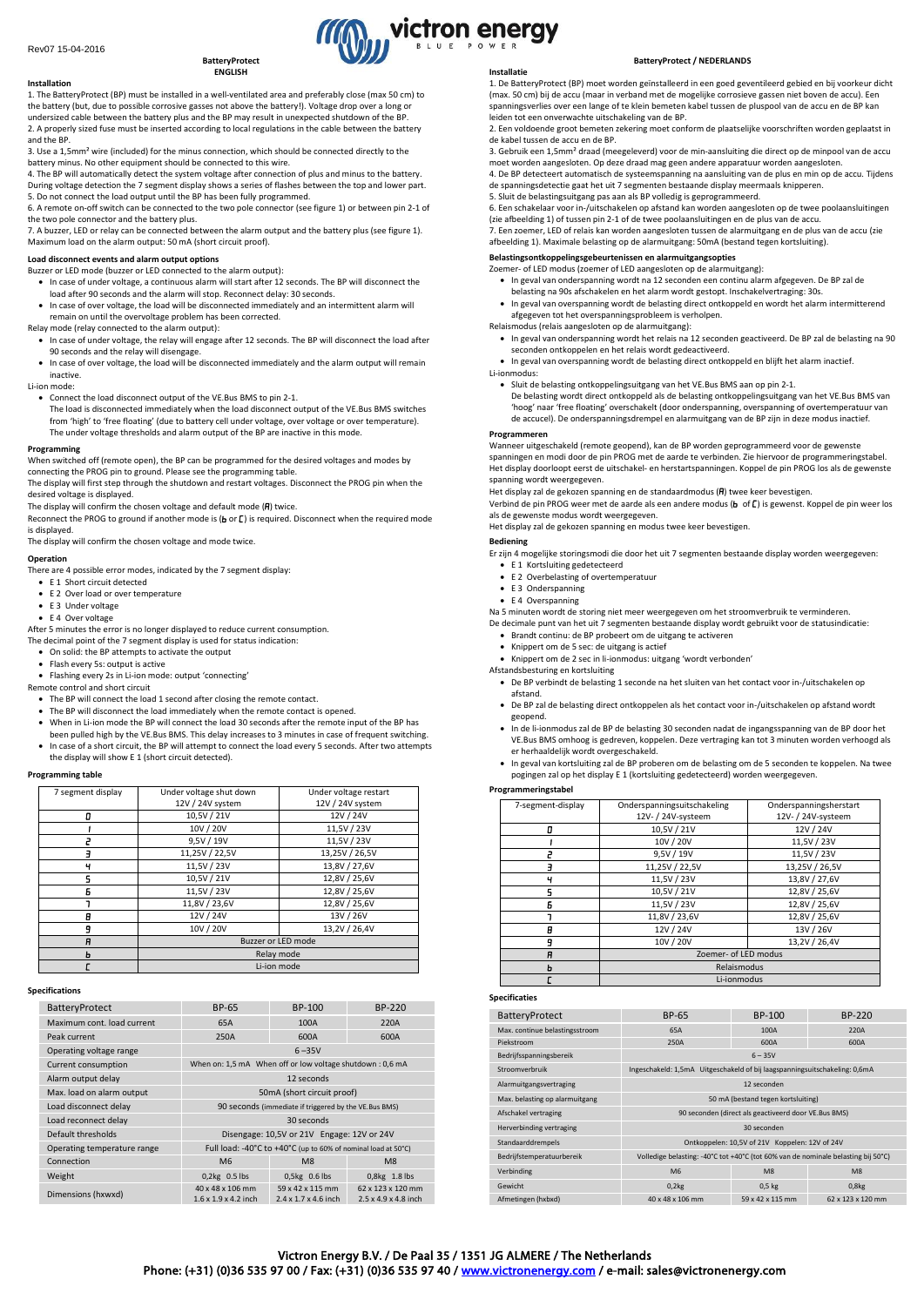#### **BatteryProtect ENGLISH**

**Installation** 1. The BatteryProtect (BP) must be installed in a well-ventilated area and preferably close (max 50 cm) to the battery (but, due to possible corrosive gasses not above the battery!). Voltage drop over a long or undersized cable between the battery plus and the BP may result in unexpected shutdown of the BP. 2. A properly sized fuse must be inserted according to local regulations in the cable between the battery and the BP.

3. Use a 1,5mm² wire (included) for the minus connection, which should be connected directly to the battery minus. No other equipment should be connected to this wire.

4. The BP will automatically detect the system voltage after connection of plus and minus to the battery. During voltage detection the 7 segment display shows a series of flashes between the top and lower part.

5. Do not connect the load output until the BP has been fully programmed. 6. A remote on-off switch can be connected to the two pole connector (see figure 1) or between pin 2-1 of the two pole connector and the battery plus.

7. A buzzer, LED or relay can be connected between the alarm output and the battery plus (see figure 1). Maximum load on the alarm output: 50 mA (short circuit proof).

**Load disconnect events and alarm output options** Buzzer or LED mode (buzzer or LED connected to the alarm output):

- In case of under voltage, a continuous alarm will start after 12 seconds. The BP will disconnect the load after 90 seconds and the alarm will stop. Reconnect delay: 30 seconds.
- In case of over voltage, the load will be disconnected immediately and an intermittent alarm will remain on until the overvoltage problem has been corrected.

Relay mode (relay connected to the alarm output):

- In case of under voltage, the relay will engage after 12 seconds. The BP will disconnect the load after 90 seconds and the relay will disengage.
- In case of over voltage, the load will be disconnected immediately and the alarm output will remain inactive.

Li-ion mode:

• Connect the load disconnect output of the VE.Bus BMS to pin 2-1.

The load is disconnected immediately when the load disconnect output of the VE.Bus BMS switches from 'high' to 'free floating' (due to battery cell under voltage, over voltage or over temperature). The under voltage thresholds and alarm output of the BP are inactive in this mode.

#### **Programming**

When switched off (remote open), the BP can be programmed for the desired voltages and modes by connecting the PROG pin to ground. Please see the programming table.

The display will first step through the shutdown and restart voltages. Disconnect the PROG pin when the desired voltage is displayed.

The display will confirm the chosen voltage and default mode  $(\overline{H})$  twice.

Reconnect the PROG to ground if another mode is ( $\mathbf b$  or  $\mathbf L$ ) is required. Disconnect when the required mode is displayed.

The display will confirm the chosen voltage and mode twice.

#### **Operation**

There are 4 possible error modes, indicated by the 7 segment display:

- E 1 Short circuit detected
- E 2 Over load or over temperature
- E 3 Under voltage • E 4 Over voltage

After 5 minutes the error is no longer displayed to reduce current consumption. The decimal point of the 7 segment display is used for status indication:

• On solid: the BP attempts to activate the output

- Flash every 5s: output is active
- Flashing every 2s in Li-ion mode: output 'connecting'

Remote control and short circuit

- The BP will connect the load 1 second after closing the remote contact.
- The BP will disconnect the load immediately when the remote contact is opened.
- When in Li-ion mode the BP will connect the load 30 seconds after the remote input of the BP has been pulled high by the VE.Bus BMS. This delay increases to 3 minutes in case of frequent switching.
- In case of a short circuit, the BP will attempt to connect the load every 5 seconds. After two attempts the display will show E 1 (short circuit detected).

# **Programming table**

| 7 segment display | Under voltage shut down | Under voltage restart |  |
|-------------------|-------------------------|-----------------------|--|
|                   | 12V / 24V system        | 12V / 24V system      |  |
|                   | 10,5V / 21V             | 12V / 24V             |  |
|                   | 10V / 20V               | 11,5V / 23V           |  |
|                   | 9,5V / 19V              | 11,5V / 23V           |  |
|                   | 11,25V / 22,5V          | 13,25V / 26,5V        |  |
| ч                 | 11,5V / 23V             | 13,8V / 27,6V         |  |
| 5                 | 10,5V / 21V             | 12,8V / 25,6V         |  |
| Б                 | 11,5V / 23V             | 12,8V / 25,6V         |  |
|                   | 11,8V / 23,6V           | 12,8V / 25,6V         |  |
| θ                 | 12V / 24V               | 13V / 26V             |  |
| q                 | 10V / 20V               | 13,2V / 26,4V         |  |
| A                 | Buzzer or LED mode      |                       |  |
| ь                 | Relay mode              |                       |  |
|                   | Li-ion mode             |                       |  |

#### **Specifications**

| BatteryProtect              | BP-65                                                         | BP-100                                               | BP-220                                                |
|-----------------------------|---------------------------------------------------------------|------------------------------------------------------|-------------------------------------------------------|
| Maximum cont. load current  | 65A                                                           | 100A                                                 | 220A                                                  |
| Peak current                | 250A                                                          | 600A                                                 | 600A                                                  |
| Operating voltage range     |                                                               | $6 - 35V$                                            |                                                       |
| Current consumption         | When on: 1,5 mA When off or low voltage shutdown: 0,6 mA      |                                                      |                                                       |
| Alarm output delay          | 12 seconds                                                    |                                                      |                                                       |
| Max. load on alarm output   | 50mA (short circuit proof)                                    |                                                      |                                                       |
| Load disconnect delay       | 90 seconds (immediate if triggered by the VE.Bus BMS)         |                                                      |                                                       |
| Load reconnect delay        | 30 seconds                                                    |                                                      |                                                       |
| Default thresholds          | Disengage: 10,5V or 21V Engage: 12V or 24V                    |                                                      |                                                       |
| Operating temperature range | Full load: -40°C to +40°C (up to 60% of nominal load at 50°C) |                                                      |                                                       |
| Connection                  | M <sub>6</sub>                                                | M <sub>8</sub>                                       | M <sub>8</sub>                                        |
| Weight                      | $0,2kg$ 0.5 lbs                                               | 0,5kg 0.6 lbs                                        | 0,8kg 1.8 lbs                                         |
| Dimensions (hxwxd)          | 40 x 48 x 106 mm<br>$1.6 \times 1.9 \times 4.2$ inch          | 59 x 42 x 115 mm<br>$2.4 \times 1.7 \times 4.6$ inch | 62 x 123 x 120 mm<br>$2.5 \times 4.9 \times 4.8$ inch |

#### **Installatie**

victron energy

1. De BatteryProtect (BP) moet worden geïnstalleerd in een goed geventileerd gebied en bij voorkeur dicht (max. 50 cm) bij de accu (maar in verband met de mogelijke corrosieve gassen niet boven de accu). Een spanningsverlies over een lange of te klein bemeten kabel tussen de pluspool van de accu en de BP kan leiden tot een onverwachte uitschakeling van de BP.

2. Een voldoende groot bemeten zekering moet conform de plaatselijke voorschriften worden geplaatst in de kabel tussen de accu en de BP.

3. Gebruik een 1,5mm² draad (meegeleverd) voor de min-aansluiting die direct op de minpool van de accu moet worden aangesloten. Op deze draad mag geen andere apparatuur worden aangesloten. 4. De BP detecteert automatisch de systeemspanning na aansluiting van de plus en min op de accu. Tijdens de spanningsdetectie gaat het uit 7 segmenten bestaande display meermaals knipperen.

5. Sluit de belastingsuitgang pas aan als BP volledig is geprogrammeerd.

6. Een schakelaar voor in-/uitschakelen op afstand kan worden aangesloten op de twee poolaansluitingen (zie afbeelding 1) of tussen pin 2-1 of de twee poolaansluitingen en de plus van de accu.

7. Een zoemer, LED of relais kan worden aangesloten tussen de alarmuitgang en de plus van de accu (zie afbeelding 1). Maximale belasting op de alarmuitgang: 50mA (bestand tegen kortsluiting).

**Belastingsontkoppelingsgebeurtenissen en alarmuitgangsopties**

- Zoemer- of LED modus (zoemer of LED aangesloten op de alarmuitgang):
- In geval van onderspanning wordt na 12 seconden een continu alarm afgegeven. De BP zal de belasting na 90s afschakelen en het alarm wordt gestopt. Inschakelvertraging: 30s.
- In geval van overspanning wordt de belasting direct ontkoppeld en wordt het alarm intermitterend afgegeven tot het overspanningsprobleem is verholpen. Relaismodus (relais aangesloten op de alarmuitgang):
- 
- In geval van onderspanning wordt het relais na 12 seconden geactiveerd. De BP zal de belasting na 90 seconden ontkoppelen en het relais wordt gedeactiveerd.
- In geval van overspanning wordt de belasting direct ontkoppeld en blijft het alarm inactief. Li-ionmodus:
- 

• Sluit de belasting ontkoppelingsuitgang van het VE.Bus BMS aan op pin 2-1. De belasting wordt direct ontkoppeld als de belasting ontkoppelingsuitgang van het VE.Bus BMS van 'hoog' naar 'free floating' overschakelt (door onderspanning, overspanning of overtemperatuur van de accucel). De onderspanningsdrempel en alarmuitgang van de BP zijn in deze modus inactief.

### **Programmeren**

Wanneer uitgeschakeld (remote geopend), kan de BP worden geprogrammeerd voor de gewenste spanningen en modi door de pin PROG met de aarde te verbinden. Zie hiervoor de programmeringstabel. Het display doorloopt eerst de uitschakel- en herstartspanningen. Koppel de pin PROG los als de gewenste spanning wordt weergegeven.

Het display zal de gekozen spanning en de standaardmodus ( $\Pi$ ) twee keer bevestigen. Verbind de pin PROG weer met de aarde als een andere modus (b of []) is gewenst. Koppel de pin weer los

als de gewenste modus wordt weergegeven.

Het display zal de gekozen spanning en modus twee keer bevestigen.

**Bediening**

- Er zijn 4 mogelijke storingsmodi die door het uit 7 segmenten bestaande display worden weergegeven: E 1 Kortsluiting gedetecteerd
	- E 2 Overbelasting of overtemperatuur
	- E 3 Onderspanning
- E 4 Overspanning

Na 5 minuten wordt de storing niet meer weergegeven om het stroomverbruik te verminderen.

- De decimale punt van het uit 7 segmenten bestaande display wordt gebruikt voor de statusindicatie:
- Brandt continu: de BP probeert om de uitgang te activeren
- Knippert om de 5 sec: de uitgang is actief
- Knippert om de 2 sec in li-ionmodus: uitgang 'wordt verbonden'
- Afstandsbesturing en kortsluiting
	- De BP verbindt de belasting 1 seconde na het sluiten van het contact voor in-/uitschakelen op afstand.
	- De BP zal de belasting direct ontkoppelen als het contact voor in-/uitschakelen op afstand wordt geopend.
	- In de li-ionmodus zal de BP de belasting 30 seconden nadat de ingangsspanning van de BP door het VE.Bus BMS omhoog is gedreven, koppelen. Deze vertraging kan tot 3 minuten worden verhoogd als er herhaaldelijk wordt overgeschakeld.
	- In geval van kortsluiting zal de BP proberen om de belasting om de 5 seconden te koppelen. Na twee pogingen zal op het display E 1 (kortsluiting gedetecteerd) worden weergegeven.

## **Programmeringstabel**

| 7-segment-display | Onderspanningsuitschakeling<br>12V- / 24V-systeem | Onderspanningsherstart<br>12V- / 24V-systeem |  |
|-------------------|---------------------------------------------------|----------------------------------------------|--|
| 0                 | 10,5V / 21V                                       | 12V / 24V                                    |  |
|                   | 10V / 20V                                         | 11,5V / 23V                                  |  |
| 2                 | 9,5V / 19V                                        | 11,5V / 23V                                  |  |
| F                 | 11,25V / 22,5V                                    | 13,25V / 26,5V                               |  |
| ч                 | 11,5V / 23V                                       | 13,8V / 27,6V                                |  |
| 5                 | 10,5V / 21V                                       | 12,8V / 25,6V                                |  |
| 6                 | 11,5V / 23V                                       | 12,8V / 25,6V                                |  |
| ┑                 | 11,8V / 23,6V                                     | 12,8V / 25,6V                                |  |
| θ                 | 12V / 24V                                         | 13V / 26V                                    |  |
| 9                 | 10V / 20V                                         | 13,2V / 26,4V                                |  |
| A                 | Zoemer- of LED modus                              |                                              |  |
| ь                 | Relaismodus                                       |                                              |  |
|                   | Li-ionmodus                                       |                                              |  |

**Specificaties**

| BatteryProtect                 | BP-65                                                                             | BP-100           | BP-220            |
|--------------------------------|-----------------------------------------------------------------------------------|------------------|-------------------|
| Max. continue belastingsstroom | 65A                                                                               | 100A             | 220A              |
| Piekstroom                     | 250A                                                                              | 600A             | 600A              |
| Bedrijfsspanningsbereik        |                                                                                   | $6 - 35V$        |                   |
| Stroomverbruik                 | Ingeschakeld: 1,5mA Uitgeschakeld of bij laagspanningsuitschakeling: 0,6mA        |                  |                   |
| Alarmuitgangsvertraging        |                                                                                   | 12 seconden      |                   |
| Max. belasting op alarmuitgang | 50 mA (bestand tegen kortsluiting)                                                |                  |                   |
| Afschakel vertraging           | 90 seconden (direct als geactiveerd door VE.Bus BMS)                              |                  |                   |
| Herverbinding vertraging       | 30 seconden                                                                       |                  |                   |
| Standaarddrempels              | Ontkoppelen: 10,5V of 21V Koppelen: 12V of 24V                                    |                  |                   |
| Bedrijfstemperatuurbereik      | Volledige belasting: -40°C tot +40°C (tot 60% van de nominale belasting bij 50°C) |                  |                   |
| Verbinding                     | M <sub>6</sub>                                                                    | M <sub>8</sub>   | M8                |
| Gewicht                        | 0,2kg                                                                             | $0.5$ kg         | 0,8kg             |
| Afmetingen (hxbxd)             | 40 x 48 x 106 mm                                                                  | 59 x 42 x 115 mm | 62 x 123 x 120 mm |

# **BatteryProtect / NEDERLANDS**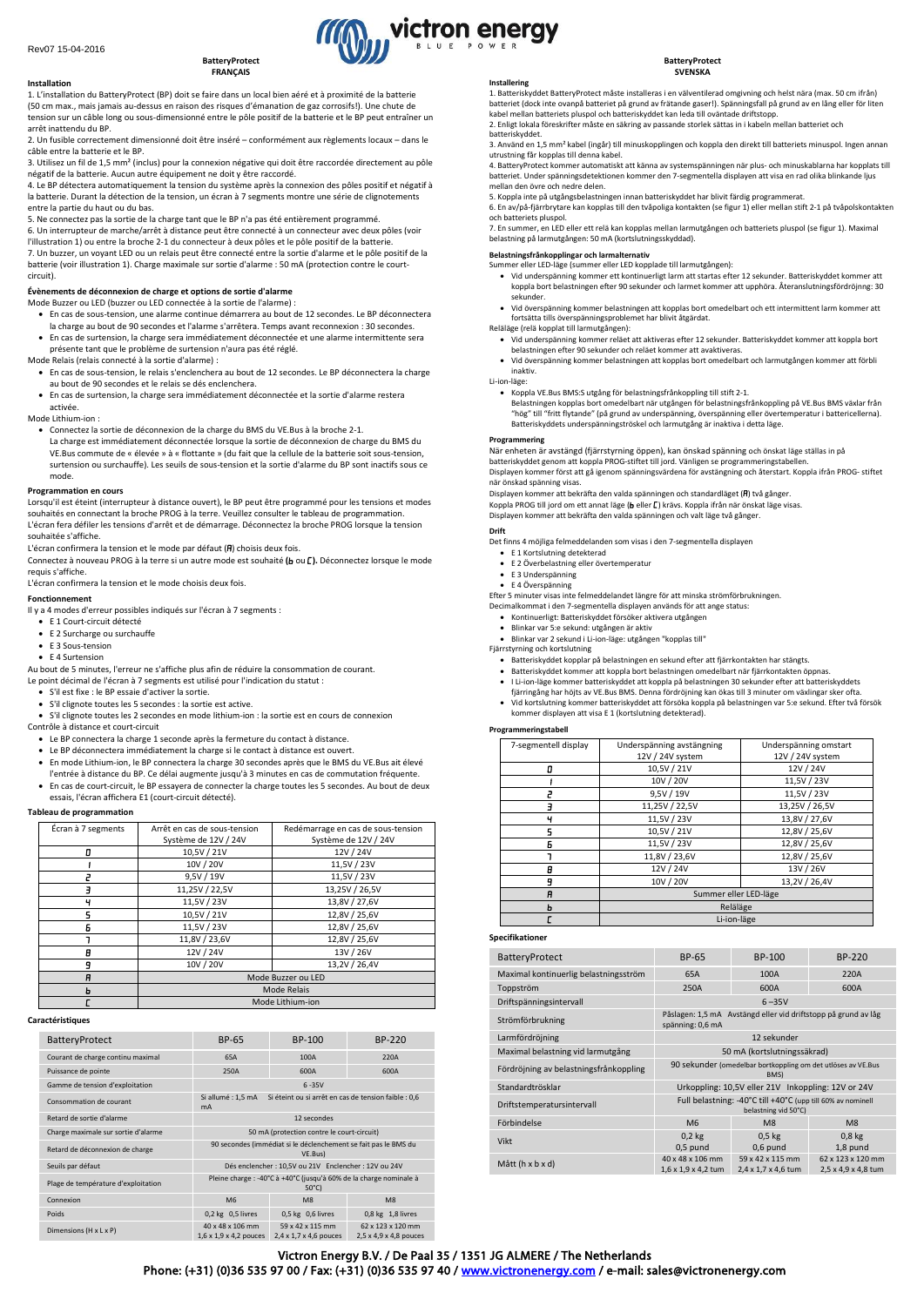**Installation**

#### **BatteryProtect FRANÇAIS**

1. L'installation du BatteryProtect (BP) doit se faire dans un local bien aéré et à proximité de la batterie (50 cm max., mais jamais au-dessus en raison des risques d'émanation de gaz corrosifs!). Une chute de tension sur un câble long ou sous-dimensionné entre le pôle positif de la batterie et le BP peut entraîner un arrêt inattendu du BP.

2. Un fusible correctement dimensionné doit être inséré – conformément aux règlements locaux – dans le câble entre la batterie et le BP.

3. Utilisez un fil de 1,5 mm² (inclus) pour la connexion négative qui doit être raccordée directement au pôle négatif de la batterie. Aucun autre équipement ne doit y être raccordé.

4. Le BP détectera automatiquement la tension du système après la connexion des pôles positif et négatif à la batterie. Durant la détection de la tension, un écran à 7 segments montre une série de clignotements entre la partie du haut ou du bas.

5. Ne connectez pas la sortie de la charge tant que le BP n'a pas été entièrement programmé.

6. Un interrupteur de marche/arrêt à distance peut être connecté à un connecteur avec deux pôles (voir l'illustration 1) ou entre la broche 2-1 du connecteur à deux pôles et le pôle positif de la batterie. 7. Un buzzer, un voyant LED ou un relais peut être connecté entre la sortie d'alarme et le pôle positif de la batterie (voir illustration 1). Charge maximale sur sortie d'alarme : 50 mA (protection contre le court-

# **Évènements de déconnexion de charge et options de sortie d'alarme**

Mode Buzzer ou LED (buzzer ou LED connectée à la sortie de l'alarme) :

- En cas de sous-tension, une alarme continue démarrera au bout de 12 secondes. Le BP déconnectera la charge au bout de 90 secondes et l'alarme s'arrêtera. Temps avant reconnexion : 30 secondes.
- En cas de surtension, la charge sera immédiatement déconnectée et une alarme intermittente sera présente tant que le problème de surtension n'aura pas été réglé.

Mode Relais (relais connecté à la sortie d'alarme) :

- En cas de sous-tension, le relais s'enclenchera au bout de 12 secondes. Le BP déconnectera la charge au bout de 90 secondes et le relais se dés enclenchera.
- En cas de surtension, la charge sera immédiatement déconnectée et la sortie d'alarme restera activée.

Mode Lithium-ion :

circuit).

- Connectez la sortie de déconnexion de la charge du BMS du VE.Bus à la broche 2-1.
- La charge est immédiatement déconnectée lorsque la sortie de déconnexion de charge du BMS du VE.Bus commute de « élevée » à « flottante » (du fait que la cellule de la batterie soit sous-tension, surtension ou surchauffe). Les seuils de sous-tension et la sortie d'alarme du BP sont inactifs sous ce mode.

#### **Programmation en cours**

Lorsqu'il est éteint (interrupteur à distance ouvert), le BP peut être programmé pour les tensions et modes souhaités en connectant la broche PROG à la terre. Veuillez consulter le tableau de programmation. L'écran fera défiler les tensions d'arrêt et de démarrage. Déconnectez la broche PROG lorsque la tension souhaitée s'affiche.

L'écran confirmera la tension et le mode par défaut ( $\Pi$ ) choisis deux fois.

Connectez à nouveau PROG à la terre si un autre mode est souhaité (b ou L). Déconnectez lorsque le mode requis s'affiche.

L'écran confirmera la tension et le mode choisis deux fois.

### **Fonctionnement**

Il y a 4 modes d'erreur possibles indiqués sur l'écran à 7 segments :

- E 1 Court-circuit détecté
- E 2 Surcharge ou surchauffe
- E 3 Sous-tension
- E 4 Surtension
- Au bout de 5 minutes, l'erreur ne s'affiche plus afin de réduire la consommation de courant.
- Le point décimal de l'écran à 7 segments est utilisé pour l'indication du statut : • S'il est fixe : le BP essaie d'activer la sortie.
- S'il clignote toutes les 5 secondes : la sortie est active.
- S'il clignote toutes les 2 secondes en mode lithium-ion : la sortie est en cours de connexion
- Contrôle à distance et court-circuit
- Le BP connectera la charge 1 seconde après la fermeture du contact à distance.
- Le BP déconnectera immédiatement la charge si le contact à distance est ouvert.
- En mode Lithium-ion, le BP connectera la charge 30 secondes après que le BMS du VE.Bus ait élevé l'entrée à distance du BP. Ce délai augmente jusqu'à 3 minutes en cas de commutation fréquente.
- En cas de court-circuit, le BP essayera de connecter la charge toutes les 5 secondes. Au bout de deux essais, l'écran affichera E1 (court-circuit détecté).

#### **Tableau de programmation**

| Écran à 7 segments | Arrêt en cas de sous-tension | Redémarrage en cas de sous-tension |  |
|--------------------|------------------------------|------------------------------------|--|
|                    | Système de 12V / 24V         | Système de 12V / 24V               |  |
| 0                  | 10,5V / 21V                  | 12V / 24V                          |  |
|                    | 10V / 20V                    | 11,5V / 23V                        |  |
|                    | 9,5V / 19V                   | 11,5V / 23V                        |  |
| ╕                  | 11,25V / 22,5V               | 13,25V / 26,5V                     |  |
| ч                  | 11,5V / 23V                  | 13,8V / 27,6V                      |  |
|                    | 10,5V / 21V                  | 12,8V / 25,6V                      |  |
| Б                  | 11,5V / 23V                  | 12,8V / 25,6V                      |  |
|                    | 11,8V / 23,6V                | 12,8V / 25,6V                      |  |
| Α                  | 12V / 24V                    | 13V / 26V                          |  |
| 9                  | 10V / 20V                    | 13,2V / 26,4V                      |  |
| A                  | Mode Buzzer ou LED           |                                    |  |
|                    | <b>Mode Relais</b>           |                                    |  |
|                    | Mode Lithium-ion             |                                    |  |

#### **Caractéristiques**

| <b>BatteryProtect</b>               | BP-65                                                                                 | BP-100                                                 | <b>BP-220</b>                                           |  |
|-------------------------------------|---------------------------------------------------------------------------------------|--------------------------------------------------------|---------------------------------------------------------|--|
| Courant de charge continu maximal   | 65A                                                                                   | 100A                                                   | 220A                                                    |  |
| Puissance de pointe                 | 250A                                                                                  | 600A                                                   | 600A                                                    |  |
| Gamme de tension d'exploitation     |                                                                                       | $6 - 35V$                                              |                                                         |  |
| Consommation de courant             | Si allumé: 1,5 mA<br><b>mA</b>                                                        | Si éteint ou si arrêt en cas de tension faible : 0,6   |                                                         |  |
| Retard de sortie d'alarme           | 12 secondes                                                                           |                                                        |                                                         |  |
| Charge maximale sur sortie d'alarme | 50 mA (protection contre le court-circuit)                                            |                                                        |                                                         |  |
| Retard de déconnexion de charge     | 90 secondes (immédiat si le déclenchement se fait pas le BMS du<br>VE.Bus)            |                                                        |                                                         |  |
| Seuils par défaut                   | Dés enclencher : 10,5V ou 21V Enclencher : 12V ou 24V                                 |                                                        |                                                         |  |
| Plage de température d'exploitation | Pleine charge : -40°C à +40°C (jusqu'à 60% de la charge nominale à<br>$50^{\circ}$ C) |                                                        |                                                         |  |
| Connexion                           | M6                                                                                    | M8                                                     | M8                                                      |  |
| Poids                               | $0.2$ kg $0.5$ livres                                                                 | $0.5$ kg $0.6$ livres                                  | $0.8$ kg $1.8$ livres                                   |  |
| Dimensions (H x L x P)              | 40 x 48 x 106 mm<br>$1,6 \times 1,9 \times 4,2$ pouces                                | 59 x 42 x 115 mm<br>$2,4 \times 1,7 \times 4,6$ pouces | 62 x 123 x 120 mm<br>$2,5 \times 4,9 \times 4,8$ pouces |  |

# **Installering**

victron energy

1. Batteriskyddet BatteryProtect måste installeras i en välventilerad omgivning och helst nära (max. 50 cm ifrån) batteriet (dock inte ovanpå batteriet på grund av frätande gaser!). Spänningsfall på grund av en lång eller för liten kabel mellan batteriets pluspol och batteriskyddet kan leda till oväntade driftstopp.

2. Enligt lokala föreskrifter måste en säkring av passande storlek sättas in i kabeln mellan batteriet och batteriskyddet.

3. Använd en 1,5 mm² kabel (ingår) till minuskopplingen och koppla den direkt till batteriets minuspol. Ingen annan utrustning får kopplas till denna kabel.

4. BatteryProtect kommer automatiskt att känna av systemspänningen när plus- och minuskablarna har kopplats till batteriet. Under spänningsdetektionen kommer den 7-segmentella displayen att visa en rad olika blinkande ljus mellan den övre och nedre delen.

5. Koppla inte på utgångsbelastningen innan batteriskyddet har blivit färdig programmerat.

6. En av/på-fjärrbrytare kan kopplas till den tvåpoliga kontakten (se figur 1) eller mellan stift 2-1 på tvåpolskontakten och batteriets pluspol.

7. En summer, en LED eller ett relä kan kopplas mellan larmutgången och batteriets pluspol (se figur 1). Maximal belastning på larmutgången: 50 mA (kortslutningsskyddad).

# **Belastningsfrånkopplingar och larmalternativ** Summer eller LED-läge (summer eller LED kopplade till larmutgången):

- Vid underspänning kommer ett kontinuerligt larm att startas efter 12 sekunder. Batteriskyddet kommer att koppla bort belastningen efter 90 sekunder och larmet kommer att upphöra. Återanslutningsfördröjnng: 30 sekunder.
- Vid överspänning kommer belastningen att kopplas bort omedelbart och ett intermittent larm kommer att fortsätta tills överspänningsproblemet har blivit åtgärdat.

### Reläläge (relä kopplat till larmutgången):

- Vid underspänning kommer reläet att aktiveras efter 12 sekunder. Batteriskyddet kommer att koppla bort belastningen efter 90 sekunder och reläet kommer att avaktiveras.
- Vid överspänning kommer belastningen att kopplas bort omedelbart och larmutgången kommer att förbli inaktiv.

# Li-ion-läge:

• Koppla VE.Bus BMS:S utgång för belastningsfrånkoppling till stift 2-1. Belastningen kopplas bort omedelbart när utgången för belastningsfrånkoppling på VE.Bus BMS växlar från "hög" till "fritt flytande" (på grund av underspänning, överspänning eller övertemperatur i battericellerna). Batteriskyddets underspänningströskel och larmutgång är inaktiva i detta läge.

#### **Programmering**

När enheten är avstängd (fjärrstyrning öppen), kan önskad spänning och önskat läge ställas in på batteriskyddet genom att koppla PROG-stiftet till jord. Vänligen se programmeringstabellen.

Displayen kommer först att gå igenom spänningsvärdena för avstängning och återstart. Koppla ifrån PROG- stiftet när önskad spänning visas.

Displayen kommer att bekräfta den valda spänningen och standardläget ( $\overline{p}$ ) två gånger.

Englis Jahren i det sammen som ett annat läge (beller [; ) krävs. Koppla ifrån när önskat läge visas.<br>Koppla PROG till jord om ett annat läge (beller [; ) krävs. Koppla ifrån när önskat läge visas. Displayen kommer att bekräfta den valda spänningen och valt läge två gånger.

#### **Drift**

- 
- Det finns 4 möjliga felmeddelanden som visas i den 7-segmentella displayen E 1 Kortslutning detekterad E 2 Överbelastning eller övertemperatur
	- E 3 Underspänning
- E 4 Överspänning
- Efter 5 minuter visas inte felmeddelandet längre för att minska strömförbrukningen.
- Decimalkommat i den 7-segmentella displayen används för att ange status:
- Kontinuerligt: Batteriskyddet försöker aktivera utgången Blinkar var 5:e sekund: utgången är aktiv
- 
- Blinkar var 2 sekund i Li-ion-läge: utgången "kopplas till" Fjärrstyrning och kortslutning
- Batteriskyddet kopplar på belastningen en sekund efter att fjärrkontakten har stängts.
- Batteriskyddet kommer att koppla bort belastningen omedelbart när fjärrkontakten öppnas.
- I Li-ion-läge kommer batteriskyddet att koppla på belastningen 30 sekunder efter att batteriskyddets fjärringång har höjts av VE.Bus BMS. Denna fördröjning kan ökas till 3 minuter om växlingar sker ofta.
- Vid kortslutning kommer batteriskyddet att försöka koppla på belastningen var 5:e sekund. Efter två försök kommer displayen att visa E 1 (kortslutning detekterad).

# **Programmeringstabell**

| 7-segmentell display | Underspänning avstängning | Underspänning omstart |  |
|----------------------|---------------------------|-----------------------|--|
|                      | 12V / 24V system          | 12V / 24V system      |  |
| п                    | 10,5V / 21V               | 12V / 24V             |  |
|                      | 10V / 20V                 | 11,5V / 23V           |  |
| 2                    | 9,5V / 19V                | 11,5V / 23V           |  |
| э                    | 11,25V / 22,5V            | 13,25V / 26,5V        |  |
| ч                    | 11,5V / 23V               | 13,8V / 27,6V         |  |
| 5                    | 10,5V / 21V               | 12,8V / 25,6V         |  |
| Б                    | 11,5V / 23V               | 12,8V / 25,6V         |  |
|                      | 11,8V / 23,6V             | 12,8V / 25,6V         |  |
| A                    | 12V / 24V                 | 13V / 26V             |  |
| 9                    | 10V / 20V                 | 13,2V / 26,4V         |  |
| R                    | Summer eller LED-läge     |                       |  |
| ь                    | Reläläge                  |                       |  |
|                      | Li-ion-läge               |                       |  |

## **Specifikationer**

| BatteryProtect                         | BP-65                                                                               | BP-100                                                         | BP-220                                   |
|----------------------------------------|-------------------------------------------------------------------------------------|----------------------------------------------------------------|------------------------------------------|
| Maximal kontinuerlig belastningsström  | 65A                                                                                 | 100A                                                           | 220A                                     |
| Toppström                              | 250A                                                                                | 600A                                                           | 600A                                     |
| Driftspänningsintervall                |                                                                                     | $6 - 35V$                                                      |                                          |
| Strömförbrukning                       | spänning: 0,6 mA                                                                    | Påslagen: 1,5 mA Avstängd eller vid driftstopp på grund av låg |                                          |
| Larmfördröjning                        | 12 sekunder                                                                         |                                                                |                                          |
| Maximal belastning vid larmutgång      | 50 mA (kortslutningssäkrad)                                                         |                                                                |                                          |
| Fördröjning av belastningsfrånkoppling | 90 sekunder (omedelbar bortkoppling om det utlöses av VE.Bus<br>BMS)                |                                                                |                                          |
| Standardtrösklar                       | Urkoppling: 10,5V eller 21V Inkoppling: 12V or 24V                                  |                                                                |                                          |
| Driftstemperatursintervall             | Full belastning: -40°C till +40°C (upp till 60% av nominell<br>belastning vid 50°C) |                                                                |                                          |
| Förbindelse                            | M <sub>6</sub>                                                                      | M <sub>8</sub>                                                 | M8                                       |
| Vikt                                   | $0.2$ kg<br>$0,5$ pund                                                              | $0.5$ kg<br>$0,6$ pund                                         | 0.8 <sub>kg</sub><br>1,8 pund            |
| Mått (h x b x d)                       | 40 x 48 x 106 mm<br>1,6 x 1,9 x 4,2 tum                                             | 59 x 42 x 115 mm<br>2,4 x 1,7 x 4,6 tum                        | 62 x 123 x 120 mm<br>2,5 x 4,9 x 4,8 tum |

# Victron Energy B.V. / De Paal 35 / 1351 JG ALMERE / The Netherlands

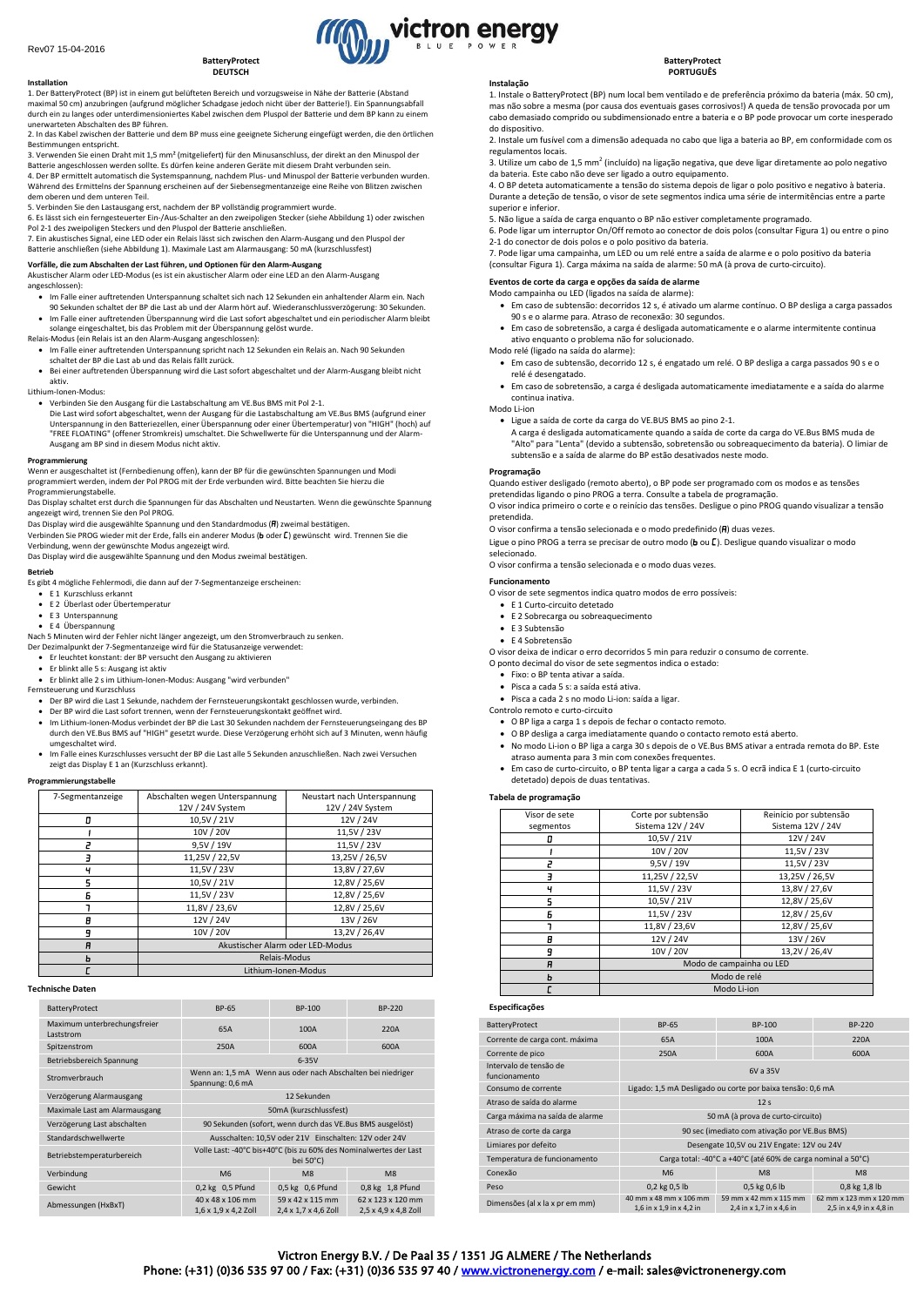**Installation**

#### **BatteryProtect DEUTSCH**

1. Der BatteryProtect (BP) ist in einem gut belüfteten Bereich und vorzugsweise in Nähe der Batterie (Abstand maximal 50 cm) anzubringen (aufgrund möglicher Schadgase jedoch nicht über der Batterie!). Ein Spannungsabfall durch ein zu langes oder unterdimensioniertes Kabel zwischen dem Pluspol der Batterie und dem BP kann zu einem unerwarteten Abschalten des BP führen.

2. In das Kabel zwischen der Batterie und dem BP muss eine geeignete Sicherung eingefügt werden, die den örtlichen Bestimmungen entspricht.

3. Verwenden Sie einen Draht mit 1,5 mm² (mitgeliefert) für den Minusanschluss, der direkt an den Minuspol der<br>Batterie angeschlossen werden sollte. Es dürfen keine anderen Geräte mit diesem Draht verbunden sein. 4. Der BP ermittelt automatisch die Systemspannung, nachdem Plus- und Minuspol der Batterie verbunden wurden.

Während des Ermittelns der Spannung erscheinen auf der Siebensegmentanzeige eine Reihe von Blitzen zwischen dem oberen und dem unteren Teil.

5. Verbinden Sie den Lastausgang erst, nachdem der BP vollständig programmiert wurde. 6. Es lässt sich ein ferngesteuerter Ein-/Aus-Schalter an den zweipoligen Stecker (siehe Abbildung 1) oder zwischen Pol 2-1 des zweipoligen Steckers und den Pluspol der Batterie anschließen.

7. Ein akustisches Signal, eine LED oder ein Relais lässt sich zwischen den Alarm-Ausgang und den Pluspol der Batterie anschließen (siehe Abbildung 1). Maximale Last am Alarmausgang: 50 mA (kurzschlussfest)

**Vorfälle, die zum Abschalten der Last führen, und Optionen für den Alarm-Ausgang**<br>Akustischer Alarm oder LED-Modus (es ist ein akustischer Alarm oder eine LED an den Alarm-Ausgang angeschlossen):

- Im Falle einer auftretenden Unterspannung schaltet sich nach 12 Sekunden ein anhaltender Alarm ein. Nach
- 90 Sekunden schaltet der BP die Last ab und der Alarm hört auf. Wiederanschlussverzögerung: 30 Sekunden. Im Falle einer auftretenden Überspannung wird die Last sofort abgeschaltet und ein periodischer Alarm bleibt solange eingeschaltet, bis das Problem mit der Überspannung gelöst wurde.
- Relais-Modus (ein Relais ist an den Alarm-Ausgang angeschlossen):
- Im Falle einer auftretenden Unterspannung spricht nach 12 Sekunden ein Relais an. Nach 90 Sekunden schaltet der BP die Last ab und das Relais fällt zurück.
- Bei einer auftretenden Überspannung wird die Last sofort abgeschaltet und der Alarm-Ausgang bleibt nicht aktiv.

#### Lithium-Ionen-Modus:

• Verbinden Sie den Ausgang für die Lastabschaltung am VE.Bus BMS mit Pol 2-1. Die Last wird sofort abgeschaltet, wenn der Ausgang für die Lastabschaltung am VE.Bus BMS (aufgrund einer Unterspannung in den Batteriezellen, einer Überspannung oder einer Übertemperatur) von "HIGH" (hoch) auf "FREE FLOATING" (offener Stromkreis) umschaltet. Die Schwellwerte für die Unterspannung und der Alarm-Ausgang am BP sind in diesem Modus nicht aktiv.

# **Programmierung**

Wenn er ausgeschaltet ist (Fernbedienung offen), kann der BP für die gewünschten Spannungen und Modi programmiert werden, indem der Pol PROG mit der Erde verbunden wird. Bitte beachten Sie hierzu die Programmierungstabelle.

Das Display schaltet erst durch die Spannungen für das Abschalten und Neustarten. Wenn die gewünschte Spannung angezeigt wird, trennen Sie den Pol PROG.

Das Display wird die ausgewählte Spannung und den Standardmodus (FI) zweimal bestätigen.

Verbinden Sie PROG wieder mit der Erde, falls ein anderer Modus (b oder [] gewünscht wird. Trennen Sie die Verbindung, wenn der gewünschte Modus angezeigt wird. Das Display wird die ausgewählte Spannung und den Modus zweimal bestätigen.

**Betrieb**

Es gibt 4 mögliche Fehlermodi, die dann auf der 7-Segmentanzeige erscheinen:

- E 1 Kurzschluss erkannt
- E 2 Überlast oder Übertemperatur • E 3 Unterspannung
- E 4 Überspannung
- Nach 5 Minuten wird der Fehler nicht länger angezeigt, um den Stromverbrauch zu senken.
- Der Dezimalpunkt der 7-Segmentanzeige wird für die Statusanzeige verwendet: Er leuchtet konstant: der BP versucht den Ausgang zu aktivieren

- 
- Er blinkt alle 5 s: Ausgang ist aktiv Er blinkt alle 2 s im Lithium-Ionen-Modus: Ausgang "wird verbunden"
- Fernsteuerung und Kurzschluss Der BP wird die Last 1 Sekunde, nachdem der Fernsteuerungskontakt geschlossen wurde, verbinden.
- Der BP wird die Last sofort trennen, wenn der Fernsteuerungskontakt geöffnet wird.
- Im Lithium-Ionen-Modus verbindet der BP die Last 30 Sekunden nachdem der Fernsteuerungseingang des BP durch den VE.Bus BMS auf "HIGH" gesetzt wurde. Diese Verzögerung erhöht sich auf 3 Minuten, wenn häufig umgeschaltet wird.
- Im Falle eines Kurzschlusses versucht der BP die Last alle 5 Sekunden anzuschließen. Nach zwei Versuchen zeigt das Display E 1 an (Kurzschluss erkannt).

#### **Programmierungstabelle**

| 7-Segmentanzeige | Abschalten wegen Unterspannung   | Neustart nach Unterspannung |  |
|------------------|----------------------------------|-----------------------------|--|
|                  | 12V / 24V System                 | 12V / 24V System            |  |
| п                | 10,5V / 21V                      | 12V / 24V                   |  |
|                  | 10V / 20V                        | 11,5V / 23V                 |  |
| ∍                | 9,5V / 19V                       | 11,5V / 23V                 |  |
|                  | 11,25V / 22,5V                   | 13,25V / 26,5V              |  |
| ч                | 11,5V / 23V                      | 13,8V / 27,6V               |  |
| ς                | 10,5V / 21V                      | 12,8V / 25,6V               |  |
| F                | 11,5V / 23V                      | 12,8V / 25,6V               |  |
|                  | 11,8V / 23,6V                    | 12,8V / 25,6V               |  |
| B                | 12V / 24V                        | 13V / 26V                   |  |
| 9                | 10V / 20V                        | 13,2V / 26,4V               |  |
| A                | Akustischer Alarm oder LED-Modus |                             |  |
| n                | Relais-Modus                     |                             |  |
|                  | Lithium-Ionen-Modus              |                             |  |
|                  |                                  |                             |  |

#### **Technische Daten**

| BatteryProtect                            | BP-65                                                                           | BP-100                                               | BP-220                                    |
|-------------------------------------------|---------------------------------------------------------------------------------|------------------------------------------------------|-------------------------------------------|
| Maximum unterbrechungsfreier<br>Laststrom | 65A                                                                             | 100A                                                 | 220A                                      |
| Spitzenstrom                              | 250A                                                                            | 600A                                                 | 600A                                      |
| Betriebsbereich Spannung                  |                                                                                 | $6-35V$                                              |                                           |
| Stromverbrauch                            | Wenn an: 1,5 mA Wenn aus oder nach Abschalten bei niedriger<br>Spannung: 0,6 mA |                                                      |                                           |
| Verzögerung Alarmausgang                  | 12 Sekunden                                                                     |                                                      |                                           |
| Maximale Last am Alarmausgang             | 50mA (kurzschlussfest)                                                          |                                                      |                                           |
| Verzögerung Last abschalten               | 90 Sekunden (sofort, wenn durch das VE.Bus BMS ausgelöst)                       |                                                      |                                           |
| Standardschwellwerte                      | Ausschalten: 10,5V oder 21V Einschalten: 12V oder 24V                           |                                                      |                                           |
| Betriebstemperaturbereich                 | Volle Last: -40°C bis+40°C (bis zu 60% des Nominalwertes der Last<br>bei 50°C)  |                                                      |                                           |
| Verbindung                                | M <sub>6</sub>                                                                  | M8                                                   | M8                                        |
| Gewicht                                   | 0,2 kg 0,5 Pfund                                                                | 0,5 kg 0,6 Pfund                                     | 0,8 kg 1,8 Pfund                          |
| Abmessungen (HxBxT)                       | 40 x 48 x 106 mm<br>$1,6 \times 1,9 \times 4,2$ Zoll                            | 59 x 42 x 115 mm<br>$2,4 \times 1,7 \times 4,6$ Zoll | 62 x 123 x 120 mm<br>2,5 x 4,9 x 4,8 Zoll |

#### **Instalação**

victron energy

1. Instale o BatteryProtect (BP) num local bem ventilado e de preferência próximo da bateria (máx. 50 cm), mas não sobre a mesma (por causa dos eventuais gases corrosivos!) A queda de tensão provocada por um cabo demasiado comprido ou subdimensionado entre a bateria e o BP pode provocar um corte inesperado do dispositivo.

2. Instale um fusível com a dimensão adequada no cabo que liga a bateria ao BP, em conformidade com os regulamentos locais.

3. Utilize um cabo de 1,5 mm<sup>2</sup> (incluído) na ligação negativa, que deve ligar diretamente ao polo negativo da bateria. Este cabo não deve ser ligado a outro equipamento.

4. O BP deteta automaticamente a tensão do sistema depois de ligar o polo positivo e negativo à bateria. Durante a deteção de tensão, o visor de sete segmentos indica uma série de intermitências entre a parte superior e inferior.

5. Não ligue a saída de carga enquanto o BP não estiver completamente programado.

6. Pode ligar um interruptor On/Off remoto ao conector de dois polos (consultar Figura 1) ou entre o pino 2-1 do conector de dois polos e o polo positivo da bateria.

7. Pode ligar uma campainha, um LED ou um relé entre a saída de alarme e o polo positivo da bateria (consultar Figura 1). Carga máxima na saída de alarme: 50 mA (à prova de curto-circuito).

## **Eventos de corte da carga e opções da saída de alarme**

- Modo campainha ou LED (ligados na saída de alarme): • Em caso de subtensão: decorridos 12 s, é ativado um alarme contínuo. O BP desliga a carga passados 90 s e o alarme para. Atraso de reconexão: 30 segundos.
	- Em caso de sobretensão, a carga é desligada automaticamente e o alarme intermitente continua ativo enquanto o problema não for solucionado.

# Modo relé (ligado na saída do alarme):

- Em caso de subtensão, decorrido 12 s, é engatado um relé. O BP desliga a carga passados 90 s e o relé é desengatado.
- Em caso de sobretensão, a carga é desligada automaticamente imediatamente e a saída do alarme continua inativa.
- Modo Li-ion
	- Ligue a saída de corte da carga do VE.BUS BMS ao pino 2-1.
	- A carga é desligada automaticamente quando a saída de corte da carga do VE.Bus BMS muda de "Alto" para "Lenta" (devido a subtensão, sobretensão ou sobreaquecimento da bateria). O limiar de subtensão e a saída de alarme do BP estão desativados neste modo.

## **Programação**

Quando estiver desligado (remoto aberto), o BP pode ser programado com os modos e as tensões pretendidas ligando o pino PROG a terra. Consulte a tabela de programação.

O visor indica primeiro o corte e o reinício das tensões. Desligue o pino PROG quando visualizar a tensão pretendida.

O visor confirma a tensão selecionada e o modo predefinido  $\left(\overline{H}\right)$  duas vezes.

Ligue o pino PROG a terra se precisar de outro modo ( $\mathbf b$  ou  $\mathbf E$ ). Desligue quando visualizar o modo selecionado.

O visor confirma a tensão selecionada e o modo duas vezes.

#### **Funcionamento**

O visor de sete segmentos indica quatro modos de erro possíveis:

- E 1 Curto-circuito detetado
- E 2 Sobrecarga ou sobreaquecimento • E 3 Subtensão
- E 4 Sobretensão
- O visor deixa de indicar o erro decorridos 5 min para reduzir o consumo de corrente.

O ponto decimal do visor de sete segmentos indica o estado:

#### • Fixo: o BP tenta ativar a saída.

- Pisca a cada 5 s: a saída está ativa.
- Pisca a cada 2 s no modo Li-ion: saída a ligar.

Controlo remoto e curto-circuito

• O BP liga a carga 1 s depois de fechar o contacto remoto.

- O BP desliga a carga imediatamente quando o contacto remoto está aberto.
- No modo Li-ion o BP liga a carga 30 s depois de o VE.Bus BMS ativar a entrada remota do BP. Este atraso aumenta para 3 min com conexões frequentes.
- Em caso de curto-circuito, o BP tenta ligar a carga a cada 5 s. O ecrã indica E 1 (curto-circuito detetado) depois de duas tentativas.

#### **Tabela de programação**

| Visor de sete | Corte por subtensão      | Reinício por subtensão |  |
|---------------|--------------------------|------------------------|--|
| segmentos     | Sistema 12V / 24V        | Sistema 12V / 24V      |  |
| 0             | 10,5V / 21V              | 12V / 24V              |  |
|               | 10V / 20V                | 11,5V / 23V            |  |
| г             | 9,5V / 19V               | 11,5V / 23V            |  |
| ٦             | 11,25V / 22,5V           | 13,25V / 26,5V         |  |
| ч             | 11,5V / 23V              | 13,8V / 27,6V          |  |
| 5             | 10,5V / 21V              | 12,8V / 25,6V          |  |
| 6             | 11,5V / 23V              | 12,8V / 25,6V          |  |
| ٦             | 11,8V / 23,6V            | 12,8V / 25,6V          |  |
| θ             | 12V / 24V                | 13V / 26V              |  |
| 9             | 10V / 20V                | 13,2V / 26,4V          |  |
| A             | Modo de campainha ou LED |                        |  |
| ь             | Modo de relé             |                        |  |
|               | Modo Li-ion              |                        |  |

### **Especificações**

| BatteryProtect                          | <b>BP-65</b>                                                 | <b>BP-100</b>                                              | <b>BP-220</b>                                       |  |
|-----------------------------------------|--------------------------------------------------------------|------------------------------------------------------------|-----------------------------------------------------|--|
| Corrente de carga cont. máxima          | 65A                                                          | 100A                                                       | 220A                                                |  |
| Corrente de pico                        | 250A                                                         | 600A                                                       | 600A                                                |  |
| Intervalo de tensão de<br>funcionamento | 6V a 35V                                                     |                                                            |                                                     |  |
| Consumo de corrente                     |                                                              | Ligado: 1,5 mA Desligado ou corte por baixa tensão: 0,6 mA |                                                     |  |
| Atraso de saída do alarme               | 12 <sub>s</sub>                                              |                                                            |                                                     |  |
| Carga máxima na saída de alarme         | 50 mA (à prova de curto-circuito)                            |                                                            |                                                     |  |
| Atraso de corte da carga                | 90 sec (imediato com ativação por VE.Bus BMS)                |                                                            |                                                     |  |
| Limiares por defeito                    | Desengate 10,5V ou 21V Engate: 12V ou 24V                    |                                                            |                                                     |  |
| Temperatura de funcionamento            | Carga total: -40°C a +40°C (até 60% de carga nominal a 50°C) |                                                            |                                                     |  |
| Conexão                                 | M <sub>6</sub><br>M <sub>8</sub><br>M8                       |                                                            |                                                     |  |
| Peso                                    | 0,2 kg 0,5 lb                                                | 0,5 kg 0,6 lb                                              | 0,8 kg 1,8 lb                                       |  |
| Dimensões (al x la x pr em mm)          | 40 mm x 48 mm x 106 mm<br>1,6 in x 1,9 in x 4,2 in           | 59 mm x 42 mm x 115 mm<br>2,4 in x 1,7 in x 4,6 in         | 62 mm x 123 mm x 120 mm<br>2,5 in x 4,9 in x 4,8 in |  |

#### **BatteryProtect PORTUGUÊS**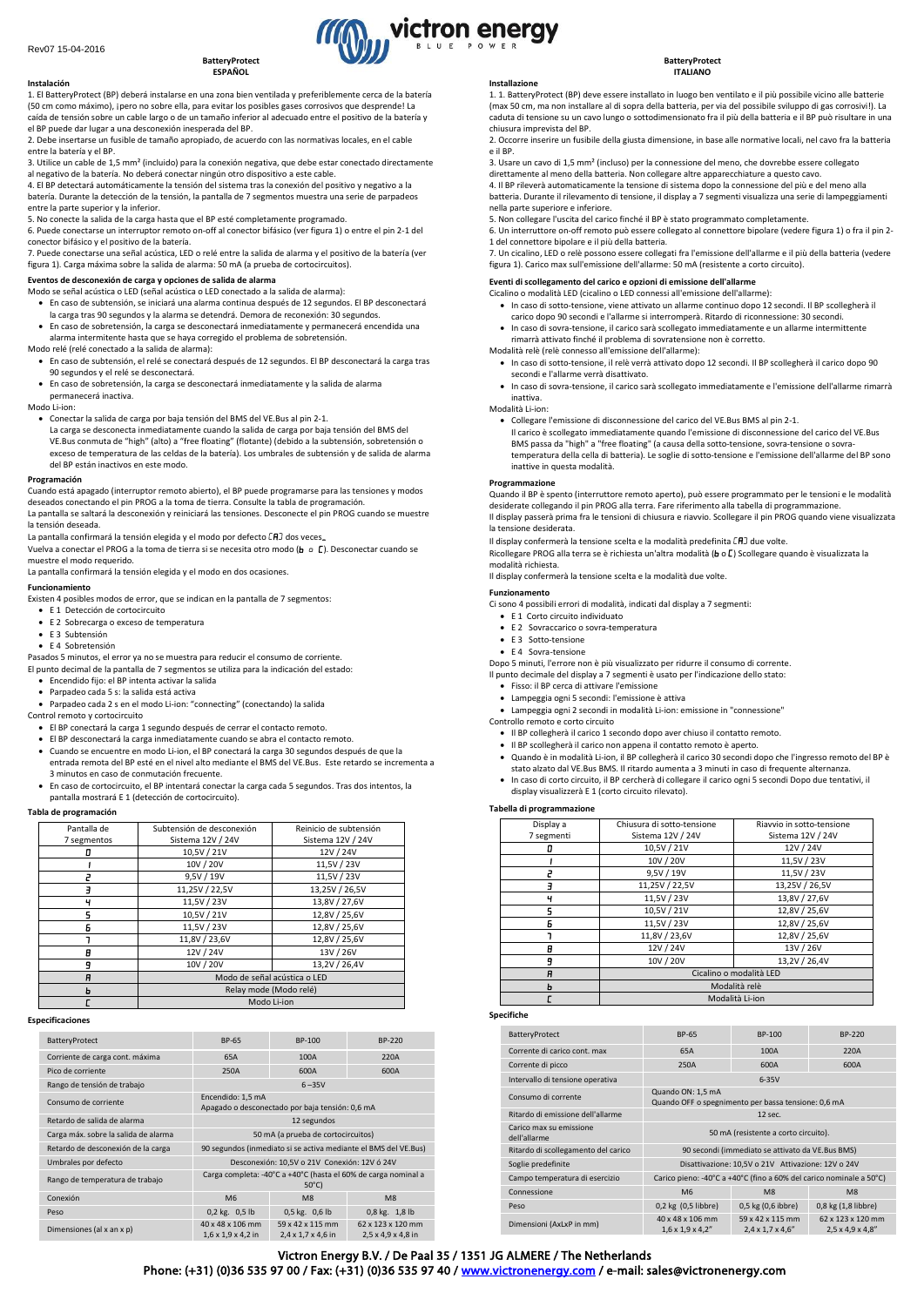#### **BatteryProtect ESPAÑOL**

**Instalación** 1. El BatteryProtect (BP) deberá instalarse en una zona bien ventilada y preferiblemente cerca de la batería (50 cm como máximo), ¡pero no sobre ella, para evitar los posibles gases corrosivos que desprende! La caída de tensión sobre un cable largo o de un tamaño inferior al adecuado entre el positivo de la batería y el BP puede dar lugar a una desconexión inesperada del BP.

2. Debe insertarse un fusible de tamaño apropiado, de acuerdo con las normativas locales, en el cable entre la batería y el BP.

3. Utilice un cable de 1,5 mm² (incluido) para la conexión negativa, que debe estar conectado directamente al negativo de la batería. No deberá conectar ningún otro dispositivo a este cable.

4. El BP detectará automáticamente la tensión del sistema tras la conexión del positivo y negativo a la batería. Durante la detección de la tensión, la pantalla de 7 segmentos muestra una serie de parpadeos

entre la parte superior y la inferior. 5. No conecte la salida de la carga hasta que el BP esté completamente programado.

6. Puede conectarse un interruptor remoto on-off al conector bifásico (ver figura 1) o entre el pin 2-1 del conector bifásico y el positivo de la batería.

7. Puede conectarse una señal acústica, LED o relé entre la salida de alarma y el positivo de la batería (ver figura 1). Carga máxima sobre la salida de alarma: 50 mA (a prueba de cortocircuitos).

- **Eventos de desconexión de carga y opciones de salida de alarma** Modo se señal acústica o LED (señal acústica o LED conectado a la salida de alarma):
- En caso de subtensión, se iniciará una alarma continua después de 12 segundos. El BP desconectará la carga tras 90 segundos y la alarma se detendrá. Demora de reconexión: 30 segundos.
- En caso de sobretensión, la carga se desconectará inmediatamente y permanecerá encendida una alarma intermitente hasta que se haya corregido el problema de sobretensión. Modo relé (relé conectado a la salida de alarma):
- En caso de subtensión, el relé se conectará después de 12 segundos. El BP desconectará la carga tras 90 segundos y el relé se desconectará.
- En caso de sobretensión, la carga se desconectará inmediatamente y la salida de alarma permanecerá inactiva.

#### Modo Li-ion:

• Conectar la salida de carga por baja tensión del BMS del VE.Bus al pin 2-1.

La carga se desconecta inmediatamente cuando la salida de carga por baja tensión del BMS del VE.Bus conmuta de "high" (alto) a "free floating" (flotante) (debido a la subtensión, sobretensión o exceso de temperatura de las celdas de la batería). Los umbrales de subtensión y de salida de alarma del BP están inactivos en este modo.

#### **Programación**

Cuando está apagado (interruptor remoto abierto), el BP puede programarse para las tensiones y modos deseados conectando el pin PROG a la toma de tierra. Consulte la tabla de programación. La pantalla se saltará la desconexión y reiniciará las tensiones. Desconecte el pin PROG cuando se muestre la tensión deseada.

La pantalla confirmará la tensión elegida y el modo por defecto  $\Box$  dos veces.

Vuelva a conectar el PROG a la toma de tierra si se necesita otro modo (**b** o **C**). Desconectar cuando se muestre el modo requerido.

La pantalla confirmará la tensión elegida y el modo en dos ocasiones.

# **Funcionamiento**

Existen 4 posibles modos de error, que se indican en la pantalla de 7 segmentos:

- E 1 Detección de cortocircuito
- E 2 Sobrecarga o exceso de temperatura
- E 3 Subtensión
- E 4 Sobretensión

Pasados 5 minutos, el error ya no se muestra para reducir el consumo de corriente. El punto decimal de la pantalla de 7 segmentos se utiliza para la indicación del estado:

- Encendido fijo: el BP intenta activar la salida
- Parpadeo cada 5 s: la salida está activa
- Parpadeo cada 2 s en el modo Li-ion: "connecting" (conectando) la salida
- Control remoto y cortocircuito
- El BP conectará la carga 1 segundo después de cerrar el contacto remoto.
- El BP desconectará la carga inmediatamente cuando se abra el contacto remoto.
- Cuando se encuentre en modo Li-ion, el BP conectará la carga 30 segundos después de que la entrada remota del BP esté en el nivel alto mediante el BMS del VE.Bus. Este retardo se incrementa a 3 minutos en caso de conmutación frecuente.
- En caso de cortocircuito, el BP intentará conectar la carga cada 5 segundos. Tras dos intentos, la pantalla mostrará E 1 (detección de cortocircuito).

#### **Tabla de programación**

| Pantalla de | Subtensión de desconexión    | Reinicio de subtensión |  |  |
|-------------|------------------------------|------------------------|--|--|
| 7 segmentos | Sistema 12V / 24V            | Sistema 12V / 24V      |  |  |
| п           | 10,5V / 21V                  | 12V / 24V              |  |  |
|             | 10V / 20V                    | 11,5V / 23V            |  |  |
| 7           | 9,5V / 19V                   | 11,5V / 23V            |  |  |
|             | 11,25V / 22,5V               | 13,25V / 26,5V         |  |  |
| ч           | 11.5V / 23V                  | 13.8V / 27.6V          |  |  |
| 5           | 10,5V / 21V                  | 12,8V / 25,6V          |  |  |
| Б           | 11,5V / 23V                  | 12,8V / 25,6V          |  |  |
|             | 11,8V / 23,6V                | 12,8V / 25,6V          |  |  |
| 8           | 12V / 24V                    | 13V / 26V              |  |  |
| 9           | 10V / 20V                    | 13,2V / 26,4V          |  |  |
| A           | Modo de señal acústica o LED |                        |  |  |
| ь           | Relay mode (Modo relé)       |                        |  |  |
|             | Modo Li-ion                  |                        |  |  |

### **Especificaciones**

| BatteryProtect                       | BP-65                                                                             | <b>BP-100</b>                          | BP-220                                              |  |
|--------------------------------------|-----------------------------------------------------------------------------------|----------------------------------------|-----------------------------------------------------|--|
| Corriente de carga cont. máxima      | 65A                                                                               | 100A                                   | 220A                                                |  |
| Pico de corriente                    | 250A                                                                              | 600A                                   | 600A                                                |  |
| Rango de tensión de trabajo          | $6 - 35V$                                                                         |                                        |                                                     |  |
| Consumo de corriente                 | Encendido: 1,5 mA<br>Apagado o desconectado por baja tensión: 0,6 mA              |                                        |                                                     |  |
| Retardo de salida de alarma          | 12 segundos                                                                       |                                        |                                                     |  |
| Carga máx. sobre la salida de alarma | 50 mA (a prueba de cortocircuitos)                                                |                                        |                                                     |  |
| Retardo de desconexión de la carga   | 90 segundos (inmediato si se activa mediante el BMS del VE.Bus)                   |                                        |                                                     |  |
| Umbrales por defecto                 | Desconexión: 10.5V o 21V Conexión: 12V ó 24V                                      |                                        |                                                     |  |
| Rango de temperatura de trabajo      | Carga completa: -40°C a +40°C (hasta el 60% de carga nominal a<br>$50^{\circ}$ C) |                                        |                                                     |  |
| Conexión                             | M <sub>6</sub>                                                                    | M <sub>8</sub>                         | M8                                                  |  |
| Peso                                 | $0,2$ kg. $0,5$ lb                                                                | 0,5 kg. 0,6 lb                         | 0,8 kg. 1,8 lb                                      |  |
| Dimensiones (al x an x p)            | 40 x 48 x 106 mm<br>$1,6 \times 1,9 \times 4,2$ in                                | 59 x 42 x 115 mm<br>2,4 x 1,7 x 4,6 in | 62 x 123 x 120 mm<br>$2,5 \times 4,9 \times 4,8$ in |  |

#### **Installazione**

1. 1. BatteryProtect (BP) deve essere installato in luogo ben ventilato e il più possibile vicino alle batterie (max 50 cm, ma non installare al di sopra della batteria, per via del possibile sviluppo di gas corrosivi!). La caduta di tensione su un cavo lungo o sottodimensionato fra il più della batteria e il BP può risultare in una chiusura imprevista del BP.

**BatteryProtect ITALIANO**

2. Occorre inserire un fusibile della giusta dimensione, in base alle normative locali, nel cavo fra la batteria e il BP.

- 3. Usare un cavo di 1,5 mm² (incluso) per la connessione del meno, che dovrebbe essere collegato
- direttamente al meno della batteria. Non collegare altre apparecchiature a questo cavo. 4. Il BP rileverà automaticamente la tensione di sistema dopo la connessione del più e del meno alla

batteria. Durante il rilevamento di tensione, il display a 7 segmenti visualizza una serie di lampeggiamenti nella parte superiore e inferiore.

5. Non collegare l'uscita del carico finché il BP è stato programmato completamente.

6. Un interruttore on-off remoto può essere collegato al connettore bipolare (vedere figura 1) o fra il pin 2-

1 del connettore bipolare e il più della batteria. 7. Un cicalino, LED o relè possono essere collegati fra l'emissione dell'allarme e il più della batteria (vedere figura 1). Carico max sull'emissione dell'allarme: 50 mA (resistente a corto circuito).

## **Eventi di scollegamento del carico e opzioni di emissione dell'allarme**

- Cicalino o modalità LED (cicalino o LED connessi all'emissione dell'allarme):
	- In caso di sotto-tensione, viene attivato un allarme continuo dopo 12 secondi. Il BP scollegherà il carico dopo 90 secondi e l'allarme si interromperà. Ritardo di riconnessione: 30 secondi. • In caso di sovra-tensione, il carico sarà scollegato immediatamente e un allarme intermittente
- rimarrà attivato finché il problema di sovratensione non è corretto. Modalità relè (relè connesso all'emissione dell'allarme):
	- In caso di sotto-tensione, il relè verrà attivato dopo 12 secondi. Il BP scollegherà il carico dopo 90 secondi e l'allarme verrà disattivato.
	- In caso di sovra-tensione, il carico sarà scollegato immediatamente e l'emissione dell'allarme rimarrà inattiva.

#### Modalità Li-ion:

• Collegare l'emissione di disconnessione del carico del VE.Bus BMS al pin 2-1.

Il carico è scollegato immediatamente quando l'emissione di disconnessione del carico del VE.Bus BMS passa da "high" a "free floating" (a causa della sotto-tensione, sovra-tensione o sovratemperatura della cella di batteria). Le soglie di sotto-tensione e l'emissione dell'allarme del BP sono inattive in questa modalità.

#### **Programmazione**

Quando il BP è spento (interruttore remoto aperto), può essere programmato per le tensioni e le modalità desiderate collegando il pin PROG alla terra. Fare riferimento alla tabella di programmazione. Il display passerà prima fra le tensioni di chiusura e riavvio. Scollegare il pin PROG quando viene visualizzata la tensione desiderata.

Il display confermerà la tensione scelta e la modalità predefinita  $\Box$  due volte. Ricollegare PROG alla terra se è richiesta un'altra modalità (b o [] Scollegare quando è visualizzata la modalità richiesta.

Il display confermerà la tensione scelta e la modalità due volte.

### **Funzionamento**

Ci sono 4 possibili errori di modalità, indicati dal display a 7 segmenti:

- E 1 Corto circuito individuato
- E 2 Sovraccarico o sovra-temperatura
- E 3 Sotto-tensione
- E 4 Sovra-tensione

Dopo 5 minuti, l'errore non è più visualizzato per ridurre il consumo di corrente.

Il punto decimale del display a 7 segmenti è usato per l'indicazione dello stato:

- Fisso: il BP cerca di attivare l'emissione • Lampeggia ogni 5 secondi: l'emissione è attiva
- Lampeggia ogni 2 secondi in modalità Li-ion: emissione in "connessione"
- Controllo remoto e corto circuito
	- Il BP collegherà il carico 1 secondo dopo aver chiuso il contatto remoto.
	- Il BP scollegherà il carico non appena il contatto remoto è aperto.
	- Quando è in modalità Li-ion, il BP collegherà il carico 30 secondi dopo che l'ingresso remoto del BP è
	- stato alzato dal VE.Bus BMS. Il ritardo aumenta a 3 minuti in caso di frequente alternanza.
	- In caso di corto circuito, il BP cercherà di collegare il carico ogni 5 secondi Dopo due tentativi, il display visualizzerà E 1 (corto circuito rilevato).

#### **Tabella di programmazione**

| Display a  | Chiusura di sotto-tensione | Riavvio in sotto-tensione |  |  |
|------------|----------------------------|---------------------------|--|--|
| 7 segmenti | Sistema 12V / 24V          | Sistema 12V / 24V         |  |  |
|            | 10,5V / 21V                | 12V / 24V                 |  |  |
|            | 10V / 20V                  | 11,5V / 23V               |  |  |
| ۳          | 9,5V / 19V                 | 11,5V / 23V               |  |  |
| ╕          | 11,25V / 22,5V             | 13,25V / 26,5V            |  |  |
| ч          | 11,5V / 23V                | 13,8V / 27,6V             |  |  |
| 5          | 10,5V / 21V                | 12,8V / 25,6V             |  |  |
| Б          | 11,5V / 23V                | 12,8V / 25,6V             |  |  |
|            | 11,8V / 23,6V              | 12,8V / 25,6V             |  |  |
| A          | 12V / 24V                  | 13V / 26V                 |  |  |
| 9          | 10V / 20V                  | 13,2V / 26,4V             |  |  |
| A          | Cicalino o modalità LED    |                           |  |  |
| ь          | Modalità relè              |                           |  |  |
|            | Modalità Li-ion            |                           |  |  |

# **Specifiche**

| BatteryProtect                          | <b>BP-65</b>                                                             | BP-100                                            | <b>BP-220</b>                                      |  |
|-----------------------------------------|--------------------------------------------------------------------------|---------------------------------------------------|----------------------------------------------------|--|
| Corrente di carico cont. max            | 65A                                                                      | 100A                                              | 220A                                               |  |
| Corrente di picco                       | 250A                                                                     | 600A                                              | 600A                                               |  |
| Intervallo di tensione operativa        | $6-35V$                                                                  |                                                   |                                                    |  |
| Consumo di corrente                     | Quando ON: 1,5 mA<br>Quando OFF o spegnimento per bassa tensione: 0,6 mA |                                                   |                                                    |  |
| Ritardo di emissione dell'allarme       | 12 sec.                                                                  |                                                   |                                                    |  |
| Carico max su emissione<br>dell'allarme | 50 mA (resistente a corto circuito).                                     |                                                   |                                                    |  |
| Ritardo di scollegamento del carico     | 90 secondi (immediato se attivato da VE.Bus BMS)                         |                                                   |                                                    |  |
| Soglie predefinite                      | Disattivazione: 10,5V o 21V Attivazione: 12V o 24V                       |                                                   |                                                    |  |
| Campo temperatura di esercizio          | Carico pieno: -40°C a +40°C (fino a 60% del carico nominale a 50°C)      |                                                   |                                                    |  |
| Connessione                             | M <sub>6</sub>                                                           | M8                                                | M8                                                 |  |
| Peso                                    | $0,2$ kg $(0,5$ libbre)                                                  | 0,5 kg (0,6 ibbre)                                | $0.8$ kg $(1.8$ libbre)                            |  |
| Dimensioni (AxLxP in mm)                | 40 x 48 x 106 mm<br>$1,6 \times 1,9 \times 4,2$ "                        | 59 x 42 x 115 mm<br>$2,4 \times 1,7 \times 4,6$ " | 62 x 123 x 120 mm<br>$2,5 \times 4,9 \times 4,8$ " |  |

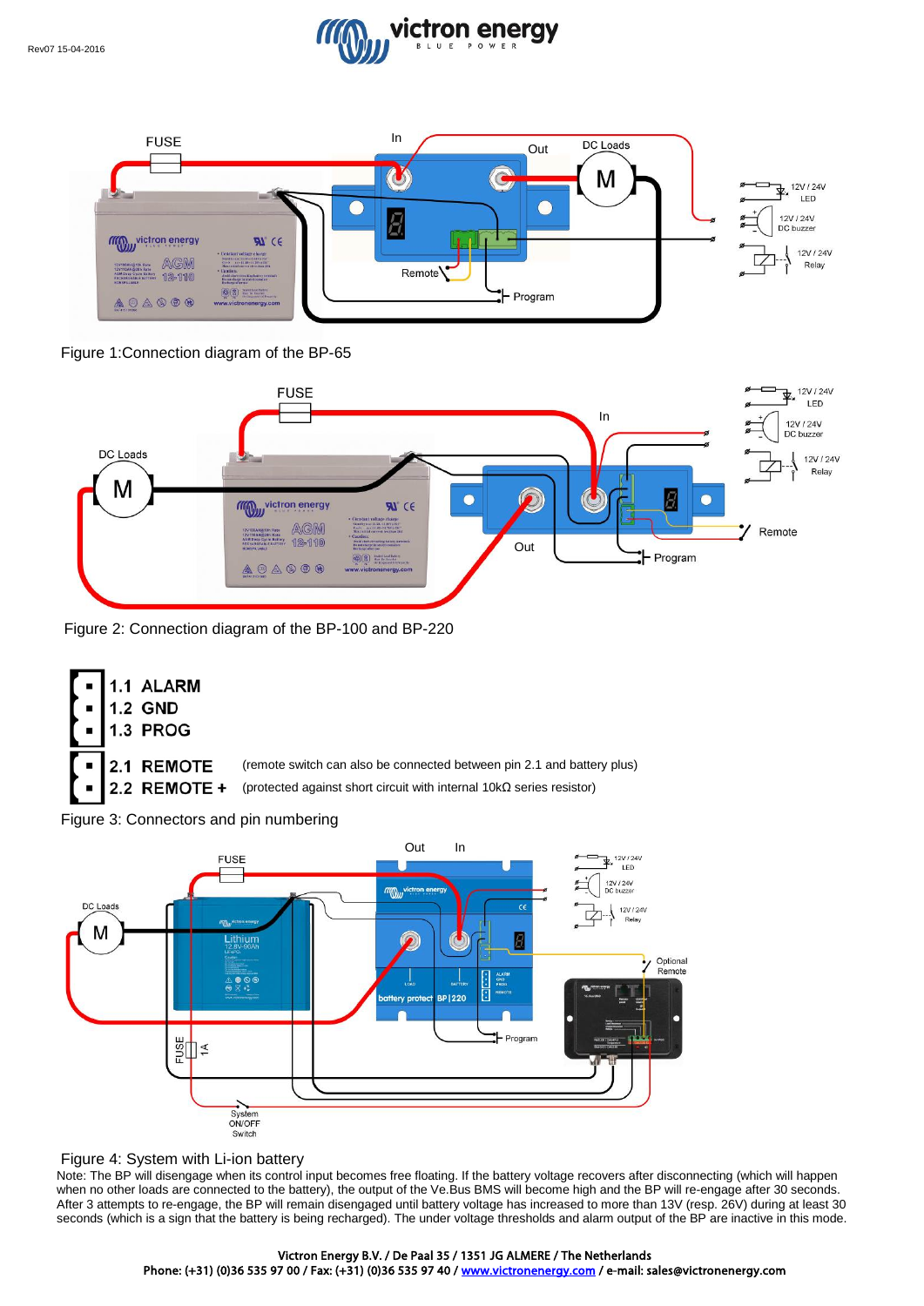



Figure 1:Connection diagram of the BP-65



Figure 2: Connection diagram of the BP-100 and BP-220





# Figure 4: System with Li-ion battery

Note: The BP will disengage when its control input becomes free floating. If the battery voltage recovers after disconnecting (which will happen when no other loads are connected to the battery), the output of the Ve.Bus BMS will become high and the BP will re-engage after 30 seconds. After 3 attempts to re-engage, the BP will remain disengaged until battery voltage has increased to more than 13V (resp. 26V) during at least 30 seconds (which is a sign that the battery is being recharged). The under voltage thresholds and alarm output of the BP are inactive in this mode.

# Victron Energy B.V. / De Paal 35 / 1351 JG ALMERE / The Netherlands

Phone: (+31) (0)36 535 97 00 / Fax: (+31) (0)36 535 97 40 [/ www.victronenergy.com](http://www.victronenergy.com/) / e-mail: sales@victronenergy.com